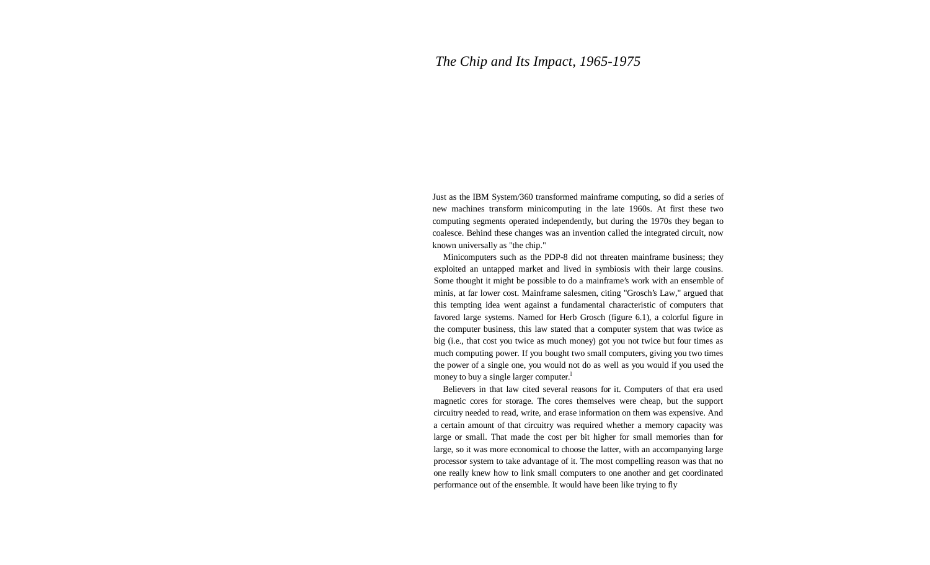# *The Chip and Its Impact, 1965-1975*

Just as the IBM System/360 transformed mainframe computing, so did a series of new machines transform minicomputing in the late 1960s. At first these two computing segments operated independently, but during the 1970s they began to coalesce. Behind these changes was an invention called the integrated circuit, now known universally as "the chip."

Minicomputers such as the PDP-8 did not threaten mainframe business; they exploited an untapped market and lived in symbiosis with their large cousins. Some thought it might be possible to do a mainframe's work with an ensemble of minis, at far lower cost. Mainframe salesmen, citing "Grosch's Law," argued that this tempting idea went against a fundamental characteristic of computers that favored large systems. Named for Herb Grosch (figure 6.1), a colorful figure in the computer business, this law stated that a computer system that was twice as big (i.e., that cost you twice as much money) got you not twice but four times as much computing power. If you bought two small computers, giving you two times the power of a single one, you would not do as well as you would if you used the money to buy a single larger computer.<sup>1</sup>

Believers in that law cited several reasons for it. Computers of that era used magnetic cores for storage. The cores themselves were cheap, but the support circuitry needed to read, write, and erase information on them was expensive. And a certain amount of that circuitry was required whether a memory capacity was large or small. That made the cost per bit higher for small memories than for large, so it was more economical to choose the latter, with an accompanying large processor system to take advantage of it. The most compelling reason was that no one really knew how to link small computers to one another and get coordinated performance out of the ensemble. It would have been like trying to fly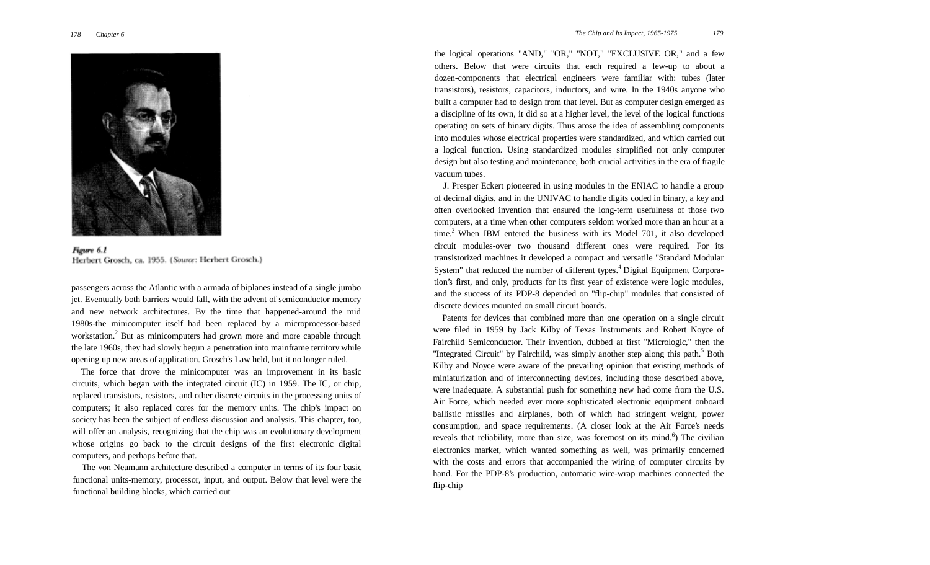

Figure 6.1 Herbert Grosch, ca. 1955. (Source: Herbert Grosch.)

passengers across the Atlantic with a armada of biplanes instead of a single jumbo jet. Eventually both barriers would fall, with the advent of semiconductor memory and new network architectures. By the time that happened-around the mid 1980s-the minicomputer itself had been replaced by a microprocessor-based workstation.<sup>2</sup> But as minicomputers had grown more and more capable through the late 1960s, they had slowly begun a penetration into mainframe territory while opening up new areas of application. Grosch's Law held, but it no longer ruled.

The force that drove the minicomputer was an improvement in its basic circuits, which began with the integrated circuit (IC) in 1959. The IC, or chip, replaced transistors, resistors, and other discrete circuits in the processing units of computers; it also replaced cores for the memory units. The chip's impact on society has been the subject of endless discussion and analysis. This chapter, too, will offer an analysis, recognizing that the chip was an evolutionary development whose origins go back to the circuit designs of the first electronic digital computers, and perhaps before that.

The von Neumann architecture described a computer in terms of its four basic functional units-memory, processor, input, and output. Below that level were the functional building blocks, which carried out

the logical operations "AND," "OR," "NOT," "EXCLUSIVE OR," and a few others. Below that were circuits that each required a few-up to about a dozen-components that electrical engineers were familiar with: tubes (later transistors), resistors, capacitors, inductors, and wire. In the 1940s anyone who built a computer had to design from that level. But as computer design emerged as a discipline of its own, it did so at a higher level, the level of the logical functions operating on sets of binary digits. Thus arose the idea of assembling components into modules whose electrical properties were standardized, and which carried out a logical function. Using standardized modules simplified not only computer design but also testing and maintenance, both crucial activities in the era of fragile vacuum tubes.

J. Presper Eckert pioneered in using modules in the ENIAC to handle a group of decimal digits, and in the UNIVAC to handle digits coded in binary, a key and often overlooked invention that ensured the long-term usefulness of those two computers, at a time when other computers seldom worked more than an hour at a time.<sup>3</sup> When IBM entered the business with its Model 701, it also developed circuit modules-over two thousand different ones were required. For its transistorized machines it developed a compact and versatile "Standard Modular System" that reduced the number of different types.<sup>4</sup> Digital Equipment Corporation's first, and only, products for its first year of existence were logic modules, and the success of its PDP-8 depended on "flip-chip" modules that consisted of discrete devices mounted on small circuit boards.

Patents for devices that combined more than one operation on a single circuit were filed in 1959 by Jack Kilby of Texas Instruments and Robert Noyce of Fairchild Semiconductor. Their invention, dubbed at first "Micrologic," then the "Integrated Circuit" by Fairchild, was simply another step along this path.<sup>5</sup> Both Kilby and Noyce were aware of the prevailing opinion that existing methods of miniaturization and of interconnecting devices, including those described above, were inadequate. A substantial push for something new had come from the U.S. Air Force, which needed ever more sophisticated electronic equipment onboard ballistic missiles and airplanes, both of which had stringent weight, power consumption, and space requirements. (A closer look at the Air Force's needs reveals that reliability, more than size, was foremost on its mind.<sup>6</sup>) The civilian electronics market, which wanted something as well, was primarily concerned with the costs and errors that accompanied the wiring of computer circuits by hand. For the PDP-8's production, automatic wire-wrap machines connected the flip-chip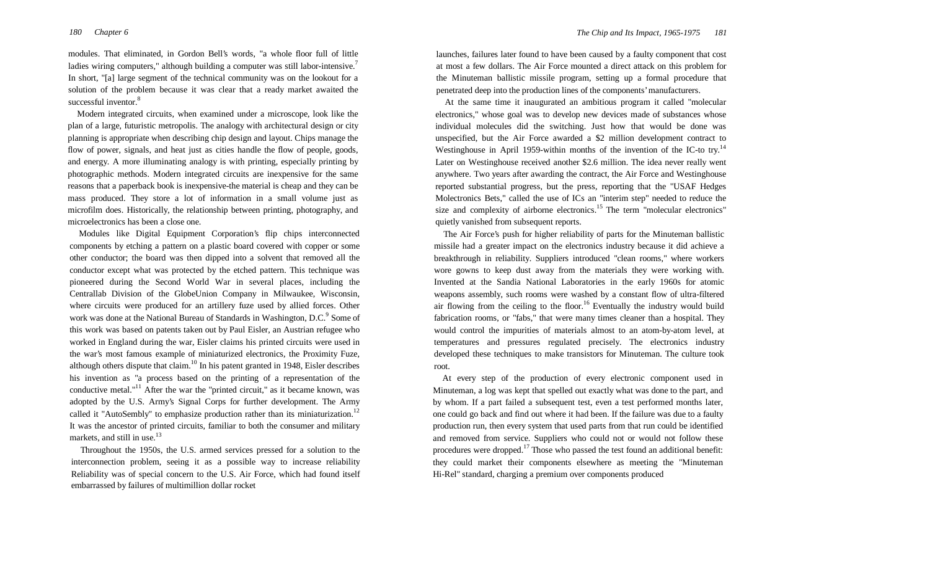modules. That eliminated, in Gordon Bell's words, "a whole floor full of little ladies wiring computers," although building a computer was still labor-intensive.<sup>7</sup> In short, "[a] large segment of the technical community was on the lookout for a solution of the problem because it was clear that a ready market awaited the successful inventor.<sup>8</sup>

Modern integrated circuits, when examined under a microscope, look like the plan of a large, futuristic metropolis. The analogy with architectural design or city planning is appropriate when describing chip design and layout. Chips manage the flow of power, signals, and heat just as cities handle the flow of people, goods, and energy. A more illuminating analogy is with printing, especially printing by photographic methods. Modern integrated circuits are inexpensive for the same reasons that a paperback book is inexpensive-the material is cheap and they can be mass produced. They store a lot of information in a small volume just as microfilm does. Historically, the relationship between printing, photography, and microelectronics has been a close one.

Modules like Digital Equipment Corporation's flip chips interconnected components by etching a pattern on a plastic board covered with copper or some other conductor; the board was then dipped into a solvent that removed all the conductor except what was protected by the etched pattern. This technique was pioneered during the Second World War in several places, including the Centrallab Division of the GlobeUnion Company in Milwaukee, Wisconsin, where circuits were produced for an artillery fuze used by allied forces. Other work was done at the National Bureau of Standards in Washington, D.C.<sup>9</sup> Some of this work was based on patents taken out by Paul Eisler, an Austrian refugee who worked in England during the war, Eisler claims his printed circuits were used in the war's most famous example of miniaturized electronics, the Proximity Fuze, although others dispute that claim.<sup>10</sup> In his patent granted in 1948, Eisler describes his invention as "a process based on the printing of a representation of the conductive metal."11 After the war the "printed circuit," as it became known, was adopted by the U.S. Army's Signal Corps for further development. The Army called it "AutoSembly" to emphasize production rather than its miniaturization.<sup>12</sup> It was the ancestor of printed circuits, familiar to both the consumer and military markets, and still in use.<sup>13</sup>

Throughout the 1950s, the U.S. armed services pressed for a solution to the interconnection problem, seeing it as a possible way to increase reliability Reliability was of special concern to the U.S. Air Force, which had found itself embarrassed by failures of multimillion dollar rocket

launches, failures later found to have been caused by a faulty component that cost at most a few dollars. The Air Force mounted a direct attack on this problem for the Minuteman ballistic missile program, setting up a formal procedure that penetrated deep into the production lines of the components' manufacturers.

At the same time it inaugurated an ambitious program it called "molecular electronics," whose goal was to develop new devices made of substances whose individual molecules did the switching. Just how that would be done was unspecified, but the Air Force awarded a \$2 million development contract to Westinghouse in April 1959-within months of the invention of the IC-to try.<sup>14</sup> Later on Westinghouse received another \$2.6 million. The idea never really went anywhere. Two years after awarding the contract, the Air Force and Westinghouse reported substantial progress, but the press, reporting that the "USAF Hedges Molectronics Bets," called the use of ICs an "interim step" needed to reduce the size and complexity of airborne electronics.<sup>15</sup> The term "molecular electronics" quietly vanished from subsequent reports.

The Air Force's push for higher reliability of parts for the Minuteman ballistic missile had a greater impact on the electronics industry because it did achieve a breakthrough in reliability. Suppliers introduced "clean rooms," where workers wore gowns to keep dust away from the materials they were working with. Invented at the Sandia National Laboratories in the early 1960s for atomic weapons assembly, such rooms were washed by a constant flow of ultra-filtered air flowing from the ceiling to the floor.<sup>16</sup> Eventually the industry would build fabrication rooms, or "fabs," that were many times cleaner than a hospital. They would control the impurities of materials almost to an atom-by-atom level, at temperatures and pressures regulated precisely. The electronics industry developed these techniques to make transistors for Minuteman. The culture took root.

At every step of the production of every electronic component used in Minuteman, a log was kept that spelled out exactly what was done to the part, and by whom. If a part failed a subsequent test, even a test performed months later, one could go back and find out where it had been. If the failure was due to a faulty production run, then every system that used parts from that run could be identified and removed from service. Suppliers who could not or would not follow these procedures were dropped.<sup>17</sup> Those who passed the test found an additional benefit: they could market their components elsewhere as meeting the "Minuteman Hi-Rel" standard, charging a premium over components produced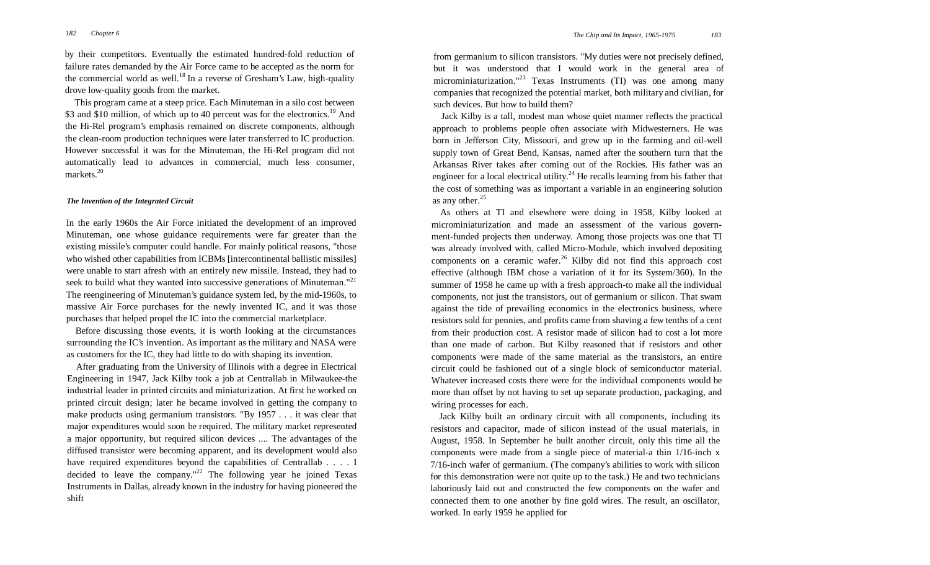by their competitors. Eventually the estimated hundred-fold reduction of failure rates demanded by the Air Force came to be accepted as the norm for the commercial world as well.<sup>18</sup> In a reverse of Gresham's Law, high-quality drove low-quality goods from the market.

This program came at a steep price. Each Minuteman in a silo cost between \$3 and \$10 million, of which up to 40 percent was for the electronics.<sup>19</sup> And the Hi-Rel program's emphasis remained on discrete components, although the clean-room production techniques were later transferred to IC production. However successful it was for the Minuteman, the Hi-Rel program did not automatically lead to advances in commercial, much less consumer, markets.<sup>20</sup>

## *The Invention of the Integrated Circuit*

In the early 1960s the Air Force initiated the development of an improved Minuteman, one whose guidance requirements were far greater than the existing missile's computer could handle. For mainly political reasons, "those who wished other capabilities from ICBMs [intercontinental ballistic missiles] were unable to start afresh with an entirely new missile. Instead, they had to seek to build what they wanted into successive generations of Minuteman."<sup>21</sup> The reengineering of Minuteman's guidance system led, by the mid-1960s, to massive Air Force purchases for the newly invented IC, and it was those purchases that helped propel the IC into the commercial marketplace.

Before discussing those events, it is worth looking at the circumstances surrounding the IC's invention. As important as the military and NASA were as customers for the IC, they had little to do with shaping its invention.

After graduating from the University of Illinois with a degree in Electrical Engineering in 1947, Jack Kilby took a job at Centrallab in Milwaukee-the industrial leader in printed circuits and miniaturization. At first he worked on printed circuit design; later he became involved in getting the company to make products using germanium transistors. "By 1957 . . . it was clear that major expenditures would soon be required. The military market represented a major opportunity, but required silicon devices .... The advantages of the diffused transistor were becoming apparent, and its development would also have required expenditures beyond the capabilities of Centrallab . . . . I decided to leave the company."<sup>22</sup> The following year he joined Texas Instruments in Dallas, already known in the industry for having pioneered the shift

from germanium to silicon transistors. "My duties were not precisely defined, but it was understood that I would work in the general area of microminiaturization."23 Texas Instruments (TI) was one among many companies that recognized the potential market, both military and civilian, for such devices. But how to build them?

Jack Kilby is a tall, modest man whose quiet manner reflects the practical approach to problems people often associate with Midwesterners. He was born in Jefferson City, Missouri, and grew up in the farming and oil-well supply town of Great Bend, Kansas, named after the southern turn that the Arkansas River takes after coming out of the Rockies. His father was an engineer for a local electrical utility.<sup>24</sup> He recalls learning from his father that the cost of something was as important a variable in an engineering solution as any other.<sup>25</sup>

As others at TI and elsewhere were doing in 1958, Kilby looked at microminiaturization and made an assessment of the various government-funded projects then underway. Among those projects was one that TI was already involved with, called Micro-Module, which involved depositing components on a ceramic wafer.<sup>26</sup> Kilby did not find this approach cost effective (although IBM chose a variation of it for its System/360). In the summer of 1958 he came up with a fresh approach-to make all the individual components, not just the transistors, out of germanium or silicon. That swam against the tide of prevailing economics in the electronics business, where resistors sold for pennies, and profits came from shaving a few tenths of a cent from their production cost. A resistor made of silicon had to cost a lot more than one made of carbon. But Kilby reasoned that if resistors and other components were made of the same material as the transistors, an entire circuit could be fashioned out of a single block of semiconductor material. Whatever increased costs there were for the individual components would be more than offset by not having to set up separate production, packaging, and wiring processes for each.

Jack Kilby built an ordinary circuit with all components, including its resistors and capacitor, made of silicon instead of the usual materials, in August, 1958. In September he built another circuit, only this time all the components were made from a single piece of material-a thin 1/16-inch x 7/16-inch wafer of germanium. (The company's abilities to work with silicon for this demonstration were not quite up to the task.) He and two technicians laboriously laid out and constructed the few components on the wafer and connected them to one another by fine gold wires. The result, an oscillator, worked. In early 1959 he applied for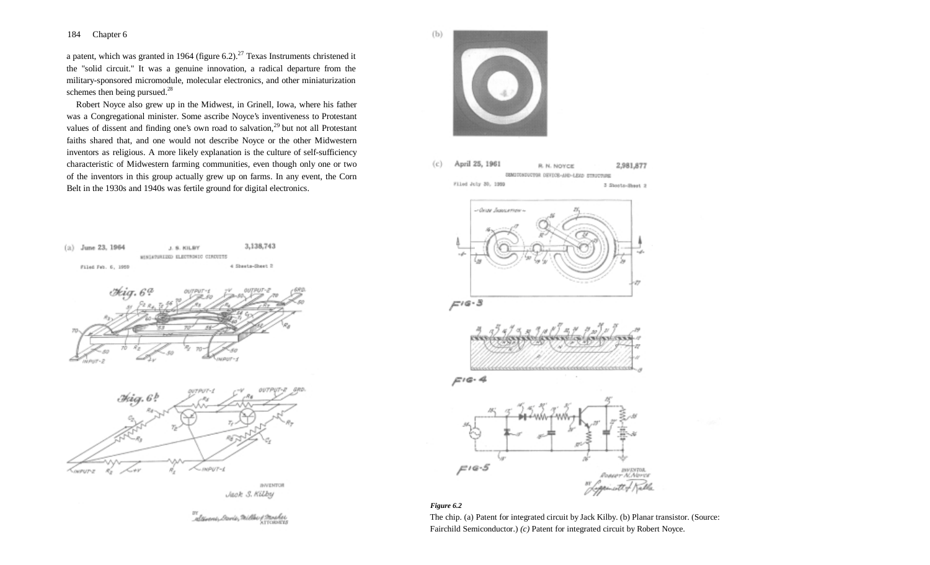## 184 Chapter 6

a patent, which was granted in 1964 (figure 6.2).<sup>27</sup> Texas Instruments christened it the "solid circuit." It was a genuine innovation, a radical departure from the military-sponsored micromodule, molecular electronics, and other miniaturization schemes then being pursued.<sup>28</sup>

Robert Noyce also grew up in the Midwest, in Grinell, Iowa, where his father was a Congregational minister. Some ascribe Noyce's inventiveness to Protestant values of dissent and finding one's own road to salvation, $2<sup>9</sup>$  but not all Protestant faiths shared that, and one would not describe Noyce or the other Midwestern inventors as religious. A more likely explanation is the culture of self-sufficiency characteristic of Midwestern farming communities, even though only one or two of the inventors in this group actually grew up on farms. In any event, the Corn Belt in the 1930s and 1940s was fertile ground for digital electronics.



 $(b)$ 

April 25, 1961  $(c)$ R. N. NOYCE 2,981,877 SEMICOSDUCTOR DEVICE-AND-LEAD STRUCTURE Filed July 30, 1989 3 Shoots-Sheet 2



#### *Figure 6.2*

The chip. (a) Patent for integrated circuit by Jack Kilby. (b) Planar transistor. (Source: Fairchild Semiconductor.) *(c)* Patent for integrated circuit by Robert Noyce.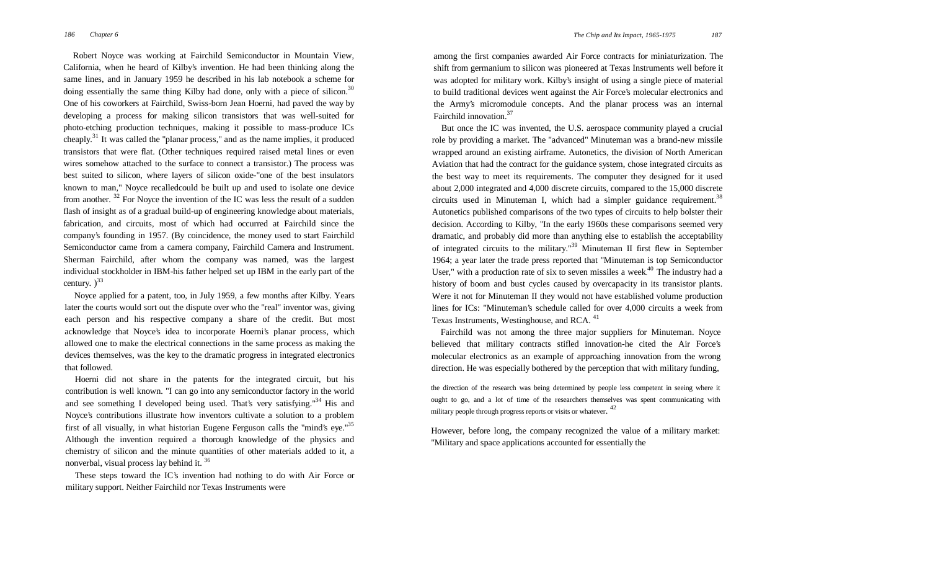Robert Noyce was working at Fairchild Semiconductor in Mountain View, California, when he heard of Kilby's invention. He had been thinking along the same lines, and in January 1959 he described in his lab notebook a scheme for doing essentially the same thing Kilby had done, only with a piece of silicon.<sup>30</sup> One of his coworkers at Fairchild, Swiss-born Jean Hoerni, had paved the way by developing a process for making silicon transistors that was well-suited for photo-etching production techniques, making it possible to mass-produce ICs cheaply.31 It was called the "planar process," and as the name implies, it produced transistors that were flat. (Other techniques required raised metal lines or even wires somehow attached to the surface to connect a transistor.) The process was best suited to silicon, where layers of silicon oxide-"one of the best insulators known to man," Noyce recalledcould be built up and used to isolate one device from another. 32 For Noyce the invention of the IC was less the result of a sudden flash of insight as of a gradual build-up of engineering knowledge about materials, fabrication, and circuits, most of which had occurred at Fairchild since the company's founding in 1957. (By coincidence, the money used to start Fairchild Semiconductor came from a camera company, Fairchild Camera and Instrument. Sherman Fairchild, after whom the company was named, was the largest individual stockholder in IBM-his father helped set up IBM in the early part of the century.  $)^{33}$ 

Noyce applied for a patent, too, in July 1959, a few months after Kilby. Years later the courts would sort out the dispute over who the "real" inventor was, giving each person and his respective company a share of the credit. But most acknowledge that Noyce's idea to incorporate Hoerni's planar process, which allowed one to make the electrical connections in the same process as making the devices themselves, was the key to the dramatic progress in integrated electronics that followed.

Hoerni did not share in the patents for the integrated circuit, but his contribution is well known. "I can go into any semiconductor factory in the world and see something I developed being used. That's very satisfying."<sup>34</sup> His and Noyce's contributions illustrate how inventors cultivate a solution to a problem first of all visually, in what historian Eugene Ferguson calls the "mind's eye."<sup>35</sup> Although the invention required a thorough knowledge of the physics and chemistry of silicon and the minute quantities of other materials added to it, a nonverbal, visual process lay behind it. <sup>36</sup>

These steps toward the IC's invention had nothing to do with Air Force or military support. Neither Fairchild nor Texas Instruments were

among the first companies awarded Air Force contracts for miniaturization. The shift from germanium to silicon was pioneered at Texas Instruments well before it was adopted for military work. Kilby's insight of using a single piece of material to build traditional devices went against the Air Force's molecular electronics and the Army's micromodule concepts. And the planar process was an internal Fairchild innovation.<sup>37</sup>

But once the IC was invented, the U.S. aerospace community played a crucial role by providing a market. The "advanced" Minuteman was a brand-new missile wrapped around an existing airframe. Autonetics, the division of North American Aviation that had the contract for the guidance system, chose integrated circuits as the best way to meet its requirements. The computer they designed for it used about 2,000 integrated and 4,000 discrete circuits, compared to the 15,000 discrete circuits used in Minuteman I, which had a simpler guidance requirement.<sup>38</sup> Autonetics published comparisons of the two types of circuits to help bolster their decision. According to Kilby, "In the early 1960s these comparisons seemed very dramatic, and probably did more than anything else to establish the acceptability of integrated circuits to the military."39 Minuteman II first flew in September 1964; a year later the trade press reported that "Minuteman is top Semiconductor User," with a production rate of six to seven missiles a week.<sup>40</sup> The industry had a history of boom and bust cycles caused by overcapacity in its transistor plants. Were it not for Minuteman II they would not have established volume production lines for ICs: "Minuteman's schedule called for over 4,000 circuits a week from Texas Instruments, Westinghouse, and RCA.<sup>41</sup>

Fairchild was not among the three major suppliers for Minuteman. Noyce believed that military contracts stifled innovation-he cited the Air Force's molecular electronics as an example of approaching innovation from the wrong direction. He was especially bothered by the perception that with military funding,

the direction of the research was being determined by people less competent in seeing where it ought to go, and a lot of time of the researchers themselves was spent communicating with military people through progress reports or visits or whatever. <sup>42</sup>

However, before long, the company recognized the value of a military market: "Military and space applications accounted for essentially the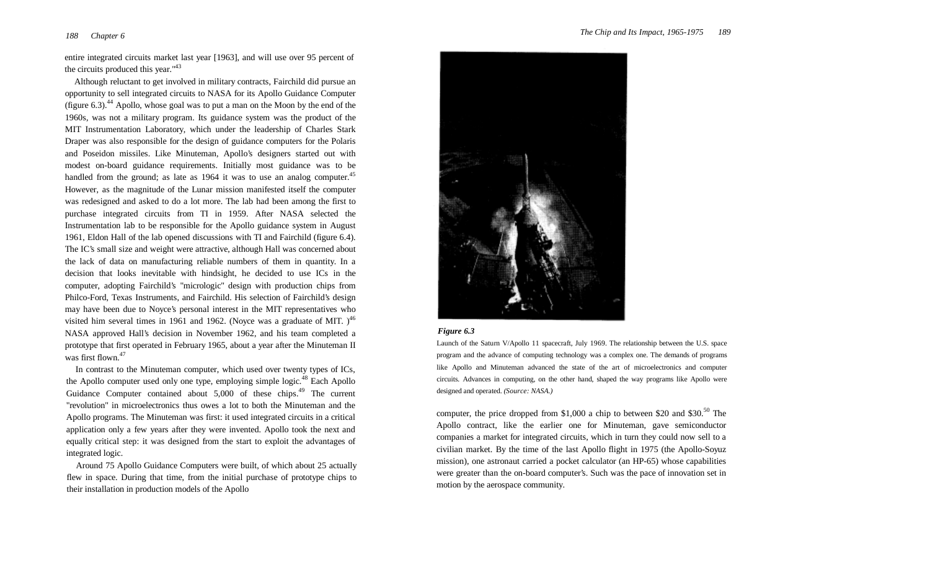# *188 Chapter 6*

entire integrated circuits market last year [1963], and will use over 95 percent of the circuits produced this year."<sup>43</sup>

Although reluctant to get involved in military contracts, Fairchild did pursue an opportunity to sell integrated circuits to NASA for its Apollo Guidance Computer (figure  $6.3$ ).<sup>44</sup> Apollo, whose goal was to put a man on the Moon by the end of the 1960s, was not a military program. Its guidance system was the product of the MIT Instrumentation Laboratory, which under the leadership of Charles Stark Draper was also responsible for the design of guidance computers for the Polaris and Poseidon missiles. Like Minuteman, Apollo's designers started out with modest on-board guidance requirements. Initially most guidance was to be handled from the ground; as late as 1964 it was to use an analog computer.<sup>45</sup> However, as the magnitude of the Lunar mission manifested itself the computer was redesigned and asked to do a lot more. The lab had been among the first to purchase integrated circuits from TI in 1959. After NASA selected the Instrumentation lab to be responsible for the Apollo guidance system in August 1961, Eldon Hall of the lab opened discussions with TI and Fairchild (figure 6.4). The IC's small size and weight were attractive, although Hall was concerned about the lack of data on manufacturing reliable numbers of them in quantity. In a decision that looks inevitable with hindsight, he decided to use ICs in the computer, adopting Fairchild's "micrologic" design with production chips from Philco-Ford, Texas Instruments, and Fairchild. His selection of Fairchild's design may have been due to Noyce's personal interest in the MIT representatives who visited him several times in 1961 and 1962. (Noyce was a graduate of MIT.  $1^{46}$ NASA approved Hall's decision in November 1962, and his team completed a prototype that first operated in February 1965, about a year after the Minuteman II was first flown.<sup>47</sup>

In contrast to the Minuteman computer, which used over twenty types of ICs, the Apollo computer used only one type, employing simple logic.<sup>48</sup> Each Apollo Guidance Computer contained about 5,000 of these chips.<sup>49</sup> The current "revolution" in microelectronics thus owes a lot to both the Minuteman and the Apollo programs. The Minuteman was first: it used integrated circuits in a critical application only a few years after they were invented. Apollo took the next and equally critical step: it was designed from the start to exploit the advantages of integrated logic.

Around 75 Apollo Guidance Computers were built, of which about 25 actually flew in space. During that time, from the initial purchase of prototype chips to their installation in production models of the Apollo



# *Figure 6.3*

Launch of the Saturn V/Apollo 11 spacecraft, July 1969. The relationship between the U.S. space program and the advance of computing technology was a complex one. The demands of programs like Apollo and Minuteman advanced the state of the art of microelectronics and computer circuits. Advances in computing, on the other hand, shaped the way programs like Apollo were designed and operated. *(Source: NASA.)* 

computer, the price dropped from \$1,000 a chip to between \$20 and \$30.<sup>50</sup> The Apollo contract, like the earlier one for Minuteman, gave semiconductor companies a market for integrated circuits, which in turn they could now sell to a civilian market. By the time of the last Apollo flight in 1975 (the Apollo-Soyuz mission), one astronaut carried a pocket calculator (an HP-65) whose capabilities were greater than the on-board computer's. Such was the pace of innovation set in motion by the aerospace community.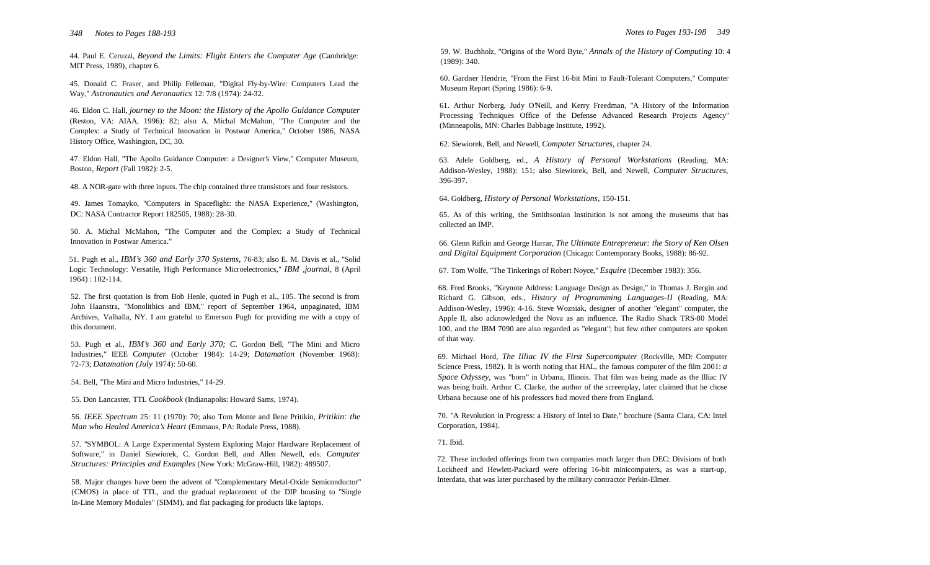44. Paul E. Ceruzzi, *Beyond the Limits: Flight Enters the Computer Age* (Cambridge: MIT Press, 1989), chapter 6.

45. Donald C. Fraser, and Philip Felleman, "Digital Fly-by-Wire: Computers Lead the Way," *Astronautics and Aeronautics* 12: 7/8 (1974): 24-32.

46. Eldon C. Hall, *journey to the Moon: the History of the Apollo Guidance Computer*  (Reston, VA: AIAA, 1996): 82; also A. Michal McMahon, "The Computer and the Complex: a Study of Technical Innovation in Postwar America," October 1986, NASA History Office, Washington, DC, 30.

47. Eldon Hall, "The Apollo Guidance Computer: a Designer's View," Computer Museum, Boston, *Report* (Fall 1982): 2-5.

48. A NOR-gate with three inputs. The chip contained three transistors and four resistors.

49. James Tomayko, "Computers in Spaceflight: the NASA Experience," (Washington, DC: NASA Contractor Report 182505, 1988): 28-30.

50. A. Michal McMahon, "The Computer and the Complex: a Study of Technical Innovation in Postwar America."

51. Pugh et al., *IBM's 360 and Early 370 Systems,* 76-83; also E. M. Davis et al., "Solid Logic Technology: Versatile, High Performance Microelectronics," *IBM ,journal,* 8 (April 1964) : 102-114.

52. The first quotation is from Bob Henle, quoted in Pugh et al., 105. The second is from John Haanstra, "Monolithics and IBM," report of September 1964, unpaginated, IBM Archives, Valhalla, NY. I am grateful to Emerson Pugh for providing me with a copy of this document.

53. Pugh et al., *IBM's 360 and Early 370; C.* Gordon Bell, "The Mini and Micro Industries," IEEE *Computer* (October 1984): 14-29; *Datamation* (November 1968): 72-73; *Datamation (July* 1974): 50-60.

54. Bell, "The Mini and Micro Industries," 14-29.

55. Don Lancaster, TTL *Cookbook* (Indianapolis: Howard Sams, 1974).

56. *IEEE Spectrum* 25: 11 (1970): 70; also Tom Monte and Ilene Pritikin, *Pritikin: the Man who Healed America's Heart* (Emmaus, PA: Rodale Press, 1988).

57. "SYMBOL: A Large Experimental System Exploring Major Hardware Replacement of Software," in Daniel Siewiorek, C. Gordon Bell, and Allen Newell, eds. *Computer Structures: Principles and Examples* (New York: McGraw-Hill, 1982): 489507.

58. Major changes have been the advent of "Complementary Metal-Oxide Semiconductor" (CMOS) in place of TTL, and the gradual replacement of the DIP housing to "Single In-Line Memory Modules" (SIMM), and flat packaging for products like laptops.

59. W. Buchholz, "Origins of the Word Byte," *Annals of the History of Computing* 10: 4 (1989): 340.

60. Gardner Hendrie, "From the First 16-bit Mini to Fault-Tolerant Computers," Computer Museum Report (Spring 1986): 6-9.

61. Arthur Norberg, Judy O'Neill, and Kerry Freedman, "A History of the Information Processing Techniques Office of the Defense Advanced Research Projects Agency" (Minneapolis, MN: Charles Babbage Institute, 1992).

62. Siewiorek, Bell, and Newell, *Computer Structures,* chapter 24.

63. Adele Goldberg, ed., *A History of Personal Workstations* (Reading, MA: Addison-Wesley, 1988): 151; also Siewiorek, Bell, and Newell, *Computer Structures,*  396-397.

64. Goldberg, *History of Personal Workstations,* 150-151.

65. As of this writing, the Smithsonian Institution is not among the museums that has collected an IMP.

66. Glenn Rifkin and George Harrar, *The Ultimate Entrepreneur: the Story of Ken Olsen and Digital Equipment Corporation* (Chicago: Contemporary Books, 1988): 86-92.

67. Tom Wolfe, "The Tinkerings of Robert Noyce," *Esquire* (December 1983): 356.

68. Fred Brooks, "Keynote Address: Language Design as Design," in Thomas J. Bergin and Richard G. Gibson, eds., *History of Programming Languages-II* (Reading, MA: Addison-Wesley, 1996): 4-16. Steve Wozniak, designer of another "elegant" computer, the Apple II, also acknowledged the Nova as an influence. The Radio Shack TRS-80 Model 100, and the IBM 7090 are also regarded as "elegant"; but few other computers are spoken of that way.

69. Michael Hord, *The Illiac IV the First Supercomputer* (Rockville, MD: Computer Science Press, 1982). It is worth noting that HAL, the famous computer of the film 2001: *a Space Odyssey,* was "born" in Urbana, Illinois. That film was being made as the Illiac IV was being built. Arthur C. Clarke, the author of the screenplay, later claimed that he chose Urbana because one of his professors had moved there from England.

70. "A Revolution in Progress: a History of Intel to Date," brochure (Santa Clara, CA: Intel Corporation, 1984).

71. Ibid.

72. These included offerings from two companies much larger than DEC: Divisions of both Lockheed and Hewlett-Packard were offering 16-bit minicomputers, as was a start-up, Interdata, that was later purchased by the military contractor Perkin-Elmer.